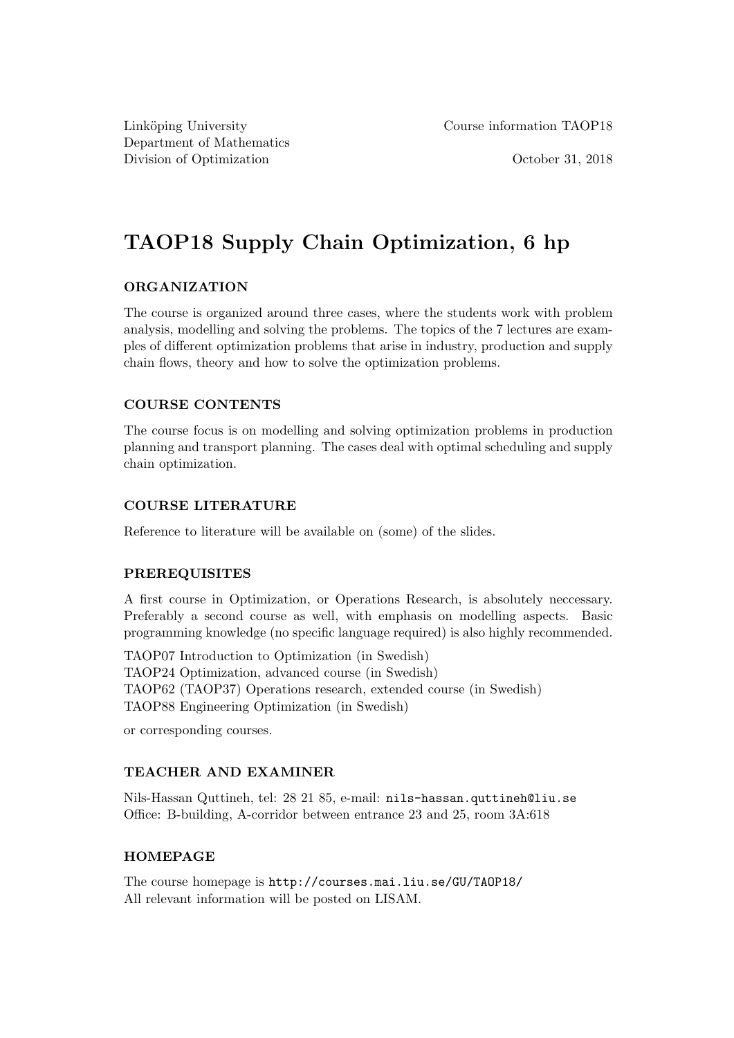Department of Mathematics Division of Optimization **October 31, 2018** 

Linköping University Course information TAOP18

# TAOP18 Supply Chain Optimization, 6 hp

### ORGANIZATION

The course is organized around three cases, where the students work with problem analysis, modelling and solving the problems. The topics of the 7 lectures are examples of different optimization problems that arise in industry, production and supply chain flows, theory and how to solve the optimization problems.

# COURSE CONTENTS

The course focus is on modelling and solving optimization problems in production planning and transport planning. The cases deal with optimal scheduling and supply chain optimization.

# COURSE LITERATURE

Reference to literature will be available on (some) of the slides.

### PREREQUISITES

A first course in Optimization, or Operations Research, is absolutely neccessary. Preferably a second course as well, with emphasis on modelling aspects. Basic programming knowledge (no specific language required) is also highly recommended.

TAOP07 Introduction to Optimization (in Swedish) TAOP24 Optimization, advanced course (in Swedish) TAOP62 (TAOP37) Operations research, extended course (in Swedish) TAOP88 Engineering Optimization (in Swedish)

or corresponding courses.

### TEACHER AND EXAMINER

Nils-Hassan Quttineh, tel: 28 21 85, e-mail: nils-hassan.quttineh@liu.se Office: B-building, A-corridor between entrance 23 and 25, room 3A:618

### HOMEPAGE

The course homepage is http://courses.mai.liu.se/GU/TAOP18/ All relevant information will be posted on LISAM.